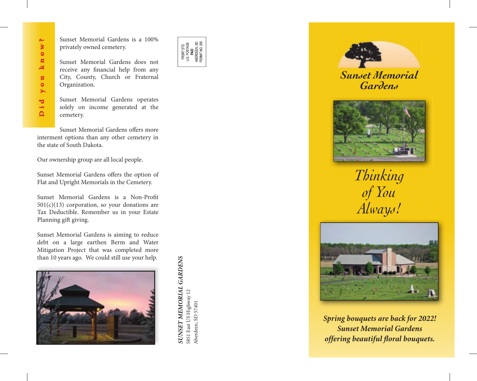Sunset Memorial Gardens is a 100% privately owned cemetery.

Sunset Memorial Gardens does not receive any financial help from any City, County, Church or Fraternal Organization.

Sunset Memorial Gardens operates solely on income generated at the cemetery.

Sunset Memorial Gardens offers more interment options than any other cemetery in the state of South Dakota.

Our ownership group are all local people.

Sunset Memorial Gardens offers the option of Flat and Upright Memorials in the Cemetery.

Sunset Memorial Gardens is a Non-Profit  $501(c)(13)$  corporation, so your donations are Tax Deductible. Remember us in your Estate Planning gift giving. Formal States is a 100%<br>
privately owned cemetery.<br>
Sunset Memorial Gardens does not<br>
receive any financial help from any<br>
City, County, Church or Fraterna<br>
Organization.<br>
Sunset Memorial Gardens operates<br>
solely on income

Sunset Memorial Gardens is aiming to reduce debt on a large earthen Berm and Water Mitigation Project that was completed more



**SUNSET MEMORIAL GARDENS** *SUNSET MEMORIAL GARDENS* 5851 East US Highway 12 5851 East US Highway 12 Aberdeen, SD 57401 Aberdeen, SD 57401





*Sunset Memorial Gardens*



*Thinking of You Always!*



*Spring bouquets are back for 2022! Sunset Memorial Gardens offering beautiful floral bouquets.*